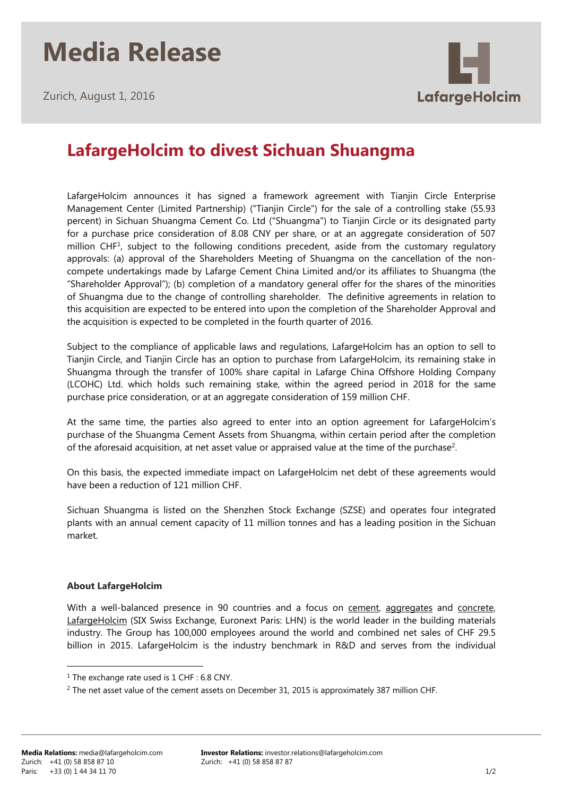## **Media Release**

Zurich, August 1, 2016



## **LafargeHolcim to divest Sichuan Shuangma**

LafargeHolcim announces it has signed a framework agreement with Tianjin Circle Enterprise Management Center (Limited Partnership) ("Tianjin Circle") for the sale of a controlling stake (55.93 percent) in Sichuan Shuangma Cement Co. Ltd ("Shuangma") to Tianjin Circle or its designated party for a purchase price consideration of 8.08 CNY per share, or at an aggregate consideration of 507 million CHF<sup>1</sup>, subject to the following conditions precedent, aside from the customary regulatory approvals: (a) approval of the Shareholders Meeting of Shuangma on the cancellation of the noncompete undertakings made by Lafarge Cement China Limited and/or its affiliates to Shuangma (the "Shareholder Approval"); (b) completion of a mandatory general offer for the shares of the minorities of Shuangma due to the change of controlling shareholder. The definitive agreements in relation to this acquisition are expected to be entered into upon the completion of the Shareholder Approval and the acquisition is expected to be completed in the fourth quarter of 2016.

Subject to the compliance of applicable laws and regulations, LafargeHolcim has an option to sell to Tianjin Circle, and Tianjin Circle has an option to purchase from LafargeHolcim, its remaining stake in Shuangma through the transfer of 100% share capital in Lafarge China Offshore Holding Company (LCOHC) Ltd. which holds such remaining stake, within the agreed period in 2018 for the same purchase price consideration, or at an aggregate consideration of 159 million CHF.

At the same time, the parties also agreed to enter into an option agreement for LafargeHolcim's purchase of the Shuangma Cement Assets from Shuangma, within certain period after the completion of the aforesaid acquisition, at net asset value or appraised value at the time of the purchase<sup>2</sup>.

On this basis, the expected immediate impact on LafargeHolcim net debt of these agreements would have been a reduction of 121 million CHF.

Sichuan Shuangma is listed on the Shenzhen Stock Exchange (SZSE) and operates four integrated plants with an annual cement capacity of 11 million tonnes and has a leading position in the Sichuan market.

## **About LafargeHolcim**

With a well-balanced presence in 90 countries and a focus on [cement,](http://www.lafargeholcim.com/cement-solutions) [aggregates](http://www.lafargeholcim.com/aggregates-solutions) and [concrete](http://www.lafargeholcim.com/concrete-solutions), [LafargeHolcim](http://www.lafargeholcim.com/lafargeholcim-at-a-glance) (SIX Swiss Exchange, Euronext Paris: LHN) is the world leader in the building materials industry. The Group has 100,000 employees around the world and combined net sales of CHF 29.5 billion in 2015. LafargeHolcim is the industry benchmark in R&D and serves from the individual

1

<sup>&</sup>lt;sup>1</sup> The exchange rate used is 1 CHF : 6.8 CNY.

<sup>&</sup>lt;sup>2</sup> The net asset value of the cement assets on December 31, 2015 is approximately 387 million CHF.